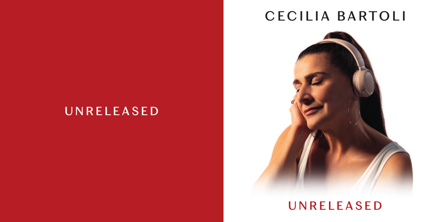# CECILIA BARTOLI



# UNRELEASED

# UNRELEASED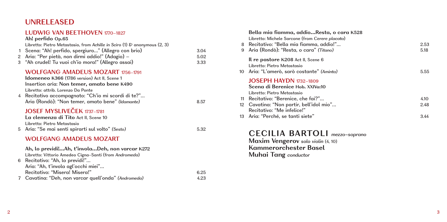# **UNRELEASED**

# **LUDWIG VAN BEETHOVEN** 1770–1827

| 1.<br>2 | Ah! perfido Op.65<br>Libretto: Pietro Metastasio, from Achille in Sciro (1) & anonymous $(2, 3)$<br>Scena: "Ah! perfido, spergiuro" (Allegro con brio)<br>Aria: "Per pietà, non dirmi addio!" (Adagio) -<br>3 "Ah crudel! Tu vuoi ch'io mora!" (Allegro assai)                                 | 3.04<br>5.02<br>3.33 |
|---------|------------------------------------------------------------------------------------------------------------------------------------------------------------------------------------------------------------------------------------------------------------------------------------------------|----------------------|
|         | <b>WOLFGANG AMADEUS MOZART 1756-1791</b><br><b>Idomeneo K366 (1786 version) Act II, Scene 1</b><br>Insertion aria: Non temer, amato bene K490<br>Libretto: attrib. Lorenzo Da Ponte<br>4 Recitativo accompagnato: "Ch'io mi scordi di te?"<br>Aria (Rondò): "Non temer, amato bene" (Idamante) | 8.57                 |
|         | <b>JOSEF MYSLIVEČEK 1737-1781</b><br>La clemenza di Tito Act II, Scene 10<br>Libretto: Pietro Metastasio<br>5 Aria: "Se mai senti spirarti sul volto" (Sesto)                                                                                                                                  | 5.32                 |
| 6       | WOLFGANG AMADEUS MOZART<br>Ah, lo previdi!Ah, t'involaDeh, non varcar K272<br>Libretto: Vittorio Amedeo Cigna-Santi (from Andromeda)<br>Recitativo: "Ah, lo previdi!"<br>Aria: "Ah, t'invola agl'occhi miei"<br>Recitativo: "Miseral Miseral"                                                  | 625                  |

| Recitativo: Misera! Misera!                          | 6.25 |
|------------------------------------------------------|------|
| 7 Cavatina: "Deh, non varcar quell'onda" (Andromeda) | 4.23 |

|   | Bella mia fiamma, addioResta, o cara K528<br>Libretto: Michele Sarcone (from Cerere placata)    |      |
|---|-------------------------------------------------------------------------------------------------|------|
|   | 8 Recitativo: "Bella mia fiamma, addio!"                                                        | 2.53 |
| 9 | Aria (Rondò): "Resta, o cara" (Titano)                                                          | 5.18 |
|   | Il re pastore K208 Act II, Scene 6<br>Libretto: Pietro Metastasio                               |      |
|   | 10 Aria: "L'amerò, sarò costante" (Aminta)                                                      | 5.55 |
|   | <b>JOSEPH HAYDN</b> 1732-1809<br>Scena di Berenice Hob. XXIVa:10<br>Libretto: Pietro Metastasio |      |
|   | 11 Recitativo: "Berenice, che fai?"                                                             | 4.10 |
|   | 12 Cavatina: "Non partir, bell'idol mio"<br>Recitativo: "Me infelice!"                          | 2.48 |
|   | 13 Aria: "Perché, se tanti siete"                                                               | 3.44 |

 **CEC IL IA BARTOL I** *mezzo-soprano*  **Maxim Vengerov** *solo violin* (4, 10)

 **Kammerorchester Basel Muhai Tang** *conductor*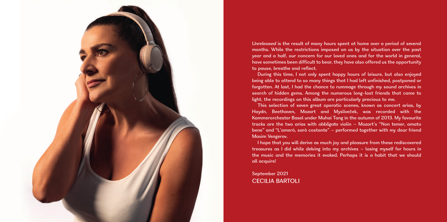

*Unreleased* is the result of many hours spent at home over a period of several months. While the restrictions imposed on us by the situation over the past year and a half, our concern for our loved ones and for the world in general, have sometimes been difficult to bear, they have also offered us the opportunity to pause, breathe and reflect.

During this time, I not only spent happy hours of leisure, but also enjoyed being able to attend to so many things that I had left unfinished, postponed or forgotten. At last, I had the chance to rummage through my sound archives in search of hidden gems. Among the numerous long-lost friends that came to light, the recordings on this album are particularly precious to me.

This selection of seven great operatic scenes, known as concert arias, by Haydn, Beethoven, Mozart and Mysliveček, was recorded with the Kammerorchester Basel under Muhai Tang in the autumn of 2013. My favourite tracks are the two arias with *obbligato* violin – Mozart's "Non temer, amato bene" and "L'amerò, sarò costante" – performed together with my dear friend Maxim Vengerov.

I hope that you will derive as much joy and pleasure from these rediscovered treasures as I did while delving into my archives – losing myself for hours in the music and the memories it evoked. Perhaps it is a habit that we should all acquire!

September 2021 CECILIA BARTOLI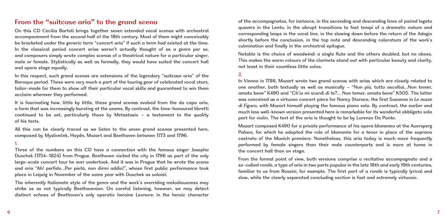# **From the "suitcase aria" to the grand scena**

On this CD Cecilia Bartoli brings together seven extended vocal scenas with orchestral accompaniment from the second half of the 18th century. Most of them might conceivably be bracketed under the generic term "concert aria" if such a term had existed at the time. In the classical period concert arias weren't actually thought of as a genre per se, and composers simply wrote complex scenas of a theatrical nature for a particular singer, male or female. Stylistically as well as formally, they would have suited the concert hall and opera stage equally.

In this respect, such grand scenas are extensions of the legendary "suitcase aria" of the Baroque period. These were very much a part of the touring gear of celebrated vocal stars, tailor-made for them to show off their particular vocal skills and guaranteed to win them acclaim wherever they performed.

It is fascinating how, little by little, these grand scenas evolved from the da capo aria, a form that was increasingly bursting at the seams. By contrast, the time-honoured libretti continued to be set, particularly those by Metastasio  $-$  a testament to the quality of his texts.

All this can be clearly traced as we listen to the seven grand scenas presented here, composed by Mysliveček, Haydn, Mozart and Beethoven between 1773 and 1796.

# 1.

Three of the numbers on this CD have a connection with the famous singer Josepha Duschek (1754–1824) from Prague. Beethoven visited the city in 1796 as part of the only large-scale concert tour he ever undertook. And it was in Prague that he wrote the scena and aria "Ah! perfido…Per pietà, non dirmi addio!", whose first public performance took place in Leipzig in November of the same year with Duschek as soloist.

The inherently Italianate style of the genre and the work's overriding melodiousness may strike us as not typically Beethovenian. On careful listening, however, we may detect distinct echoes of Beethoven's only operatic heroine Leonore: in the heroic character

of the accompagnatos, for instance, in the ascending and descending lines of paired legato quavers in the Lento, in the abrupt transitions to fast tempi of a dramatic nature and corresponding leaps in the vocal line, in the slowing down before the return of the Adagio shortly before the conclusion, in the top note and descending coloratura of the work's culmination and finally in the orchestral epilogue.

Notable is the choice of woodwind: a single flute and the others doubled, but no oboes. This makes the warm colours of the clarinets stand out with particular beauty and clarity, not least in their countless little solos.

# 2.

In Vienna in 1786, Mozart wrote two grand scenas with arias which are closely related to one another, both textually as well as musically – "Non più, tutto ascoltai…Non temer, amato bene" K490 and "Ch'io mi scordi di te?… Non temer, amato bene" K505. The latter was conceived as a virtuoso concert piece for Nancy Storace, the first Susanna in *Le nozze di Figaro*, with Mozart himself playing the famous piano solo. By contrast, the earlier and much less well-known version presented here is remarkable for its wonderful obbligato solo part for violin. The text of the aria is thought to be by Lorenzo Da Ponte.

Mozart composed K490 for a private performance of his opera *Idomeneo* at the Auersperg Palace, for which he adapted the role of Idamante for a tenor in place of the soprano castrato of the Munich premiere. Nonetheless, this aria today is much more frequently performed by female singers than their male counterparts and is more at home in the concert hall than on stage.

From the formal point of view, both versions comprise a recitativo accompagnato and a so-called rondò, a type of aria in two parts popular in the late 18th and early 19th centuries, familiar to us from Rossini, for example. The first part of a rondò is typically lyrical and slow, while the clearly separated concluding section is fast and extremely virtuosic.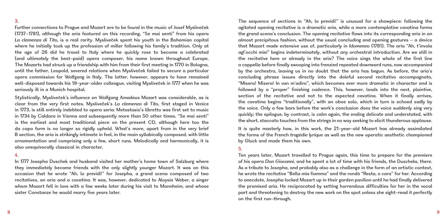# 3.

Further connections to Prague and Mozart are to be found in the music of Josef Mysliveček (1737–1781), although the aria featured on this recording, "Se mai senti" from his opera *La clemenza di Tito*, is a real rarity. Mysliveček spent his youth in the Bohemian capital where he initially took up the profession of miller following his family's tradition. Only at the age of 26 did he travel to Italy where he quickly rose to become a celebrated (and ultimately the best-paid) opera composer, his name known throughout Europe. The Mozarts had struck up a friendship with him from their first meeting in 1770 in Bologna, until the father, Leopold, severed relations when Mysliveček failed to secure a particular opera commission for Wolfgang in Italy. The latter, however, appears to have remained well-disposed towards his 19-year-older colleague, visiting Mysliveček in 1777 when he was seriously ill in a Munich hospital.

Stylistically, Mysliveček's influence on Wolfgang Amadeus Mozart was considerable, as is clear from the very first notes. Mysliveček's *La clemenza di Tito*, first staged in Venice in 1773, is still entirely indebted to opera seria: Metastasio's libretto was first set to music in 1734 by Caldara in Vienna and subsequently more than 50 other times. "Se mai senti" is the earliest and most traditional piece on the present CD, although here too the da capo form is no longer so rigidly upheld. What's more, apart from in the very brief B section, the aria is strikingly intimate in feel, in the main syllabically composed, with little ornamentation and comprising only a few, short runs. Melodically and harmonically, it is also unequivocally classical in character.

#### 4.

In 1777 Josepha Duschek and husband visited her mother's home town of Salzburg where they immediately became friends with the only slightly younger Mozart. It was on this occasion that he wrote "Ah, lo previdi!" for Josepha, a grand scena composed of two recitatives, an aria and a cavatina. It was, however, dedicated to Aloysia Weber, a singer whom Mozart fell in love with a few weeks later during his visit to Mannheim, and whose sister Constanze he would marry five years later.

The sequence of sections in "Ah, lo previdi!" is unusual for a showpiece: following the agitated opening recitative is a dramatic aria, while a more contemplative cavatina forms the grand scena's conclusion. The opening recitative flows into its corresponding aria in an almost precipitous fashion, without the usual concluding and opening gestures – a device that Mozart made extensive use of, particularly in *Idomeneo* (1781). The aria "Ah, t'invola agl'occhi miei" begins indeterminately, without any orchestral introduction. Are we still in the recitative here or already in the aria? The voice sings the whole of the first line a cappella before finally swooping into frenzied repeated downward runs, now accompanied by the orchestra, leaving us in no doubt that the aria has begun. As before, the aria's concluding phrase issues directly into the doleful second recitativo accompagnato, "Misera! Misera! In van m'adiro", which becomes ever more dramatic in character and is followed by a "proper" finishing cadence. This, however, leads into the next, plaintive, section of the recitative and not to the expected cavatina. When it finally arrives, the cavatina begins "traditionally", with an oboe solo, which in turn is echoed sadly by the voice. Only a few bars before the work's conclusion does the voice suddenly sing very quickly; the epilogue, by contrast, is calm again, the ending delicate and understated, with the short, staccato touches from the strings in no way seeking to elicit thunderous applause.

It is quite masterly how, in this work, the 21-year-old Mozart has already assimilated the forms of the French *tragédie lyrique* as well as the new operatic aesthetic championed by Gluck and made them his own.

# 5.

Ten years later, Mozart travelled to Prague again, this time to prepare for the premiere of his opera *Don Giovanni*, and he spent a lot of time with his friends, the Duscheks, there. As a tribute to Josepha, and probably also as a challenge in the form of an artistic contest, he wrote the recitative "Bella mia fiamma" and the rondò "Resta, o cara" for her. According to anecdote, Josepha locked Mozart up in their garden pavilion until he had finally delivered the promised aria. He reciprocated by setting horrendous difficulties for her in the vocal part and threatening to destroy the new work on the spot unless she sight-read it perfectly on the first run-through.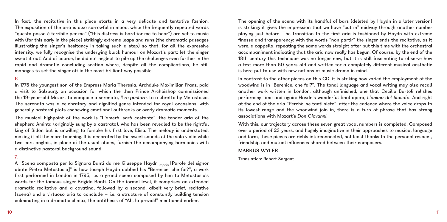In fact, the recitative in this piece starts in a very delicate and tentative fashion. The exposition of the aria is also sorrowful in mood, while the frequently repeated words "questo passo è terribile per me" ("this distress is hard for me to bear") are set to music with (for this early in the piece) strikingly extreme leaps and runs (the chromatic passages illustrating the singer's hesitancy in taking such a step) so that, for all the expressive intensity, we fully recognise the underlying black humour on Mozart's part: let the singer sweat it out! And of course, he did not neglect to pile up the challenges even further in the rapid and dramatic concluding section where, despite all the complications, he still manages to set the singer off in the most brilliant way possible.

## 6.

In 1775 the youngest son of the Empress Maria Theresia, Archduke Maximilian Franz, paid a visit to Salzburg, an occasion for which the then Prince Archbishop commissioned the 19-year-old Mozart to compose a serenata, *Il re pastore*, to a libretto by Metastasio. The serenata was a celebratory and dignified genre intended for royal occasions, with generally pastoral plots eschewing emotional outbreaks or overly dramatic moments.

The musical highpoint of the work is "L'amerò, sarò costante", the tender aria of the shepherd Aminta (originally sung by a castrato), who has been revealed to be the rightful king of Sidon but is unwilling to forsake his first love, Elisa. The melody is understated, making it all the more touching. It is decorated by the sweet sounds of the solo violin while two cors anglais, in place of the usual oboes, furnish the accompanying harmonies with a distinctive pastoral background sound.

# 7.

A "Scena composta per la Signora Banti da me Giuseppe Haydn moria [Parole del signor abate Pietro Metastasio]" is how Joseph Haydn dubbed his "Berenice, che fai?", a work first performed in London in 1795, i.e. a grand scena composed by him to Metastasio's words for the famous singer Brigida Banti. On the formal level, it comprises an extended dramatic recitative and a cavatina, followed by a second, albeit very brief, recitative (scena) and a virtuoso aria to conclude – i.e. a structure of constantly building tension culminating in a dramatic climax, the antithesis of "Ah, lo previdi!" mentioned earlier.

The opening of the scena with its handful of bars (deleted by Haydn in a later version) is striking: it gives the impression that we have "cut in" midway through another number playing just before. The transition to the first aria is fashioned by Haydn with extreme finesse and transparency: with the words "non partir" the singer ends the recitative, as it were, a cappella, repeating the same words straight after but this time with the orchestral accompaniment indicating that the aria now really has begun. Of course, by the end of the 18th century this technique was no longer new, but it is still fascinating to observe how a text more than 50 years old and written for a completely different musical aesthetic is here put to use with new notions of music drama in mind.

In contrast to the other pieces on this CD, it is striking how varied the employment of the woodwind is in "Berenice, che fai?". The tonal language and vocal writing may also recall another work written in London, although unfinished, one that Cecilia Bartoli relishes performing time and again: Haydn's wonderful final opera, *L'anima del filosofo*. And right at the end of the aria "Perchè, se tanti siete", after the cadence where the voice drops to its lowest range and the woodwind join in, there is a turn of phrase that has strong associations with Mozart's *Don Giovanni*.

With this, our trajectory across these seven great vocal numbers is completed. Composed over a period of 23 years, and hugely imaginative in their approaches to musical language and form, these pieces are richly interconnected, not least thanks to the personal respect, friendship and mutual influences shared between their composers.

# **MARKUS WYLER**

Translation: Robert Sargant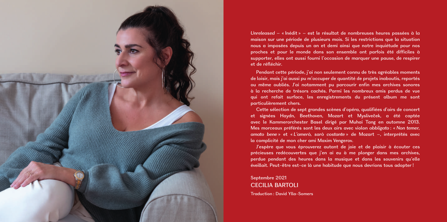

*Unreleased* – « Inédit » – est le résultat de nombreuses heures passées à la maison sur une période de plusieurs mois. Si les restrictions que la situation nous a imposées depuis un an et demi ainsi que notre inquiétude pour nos proches et pour le monde dans son ensemble ont parfois été difficiles à supporter, elles ont aussi fourni l'occasion de marquer une pause, de respirer et de réfléchir.

Pendant cette période, j'ai non seulement connu de très agréables moments de loisir, mais j'ai aussi pu m'occuper de quantité de projets inaboutis, reportés ou même oubliés. J'ai notamment pu parcourir enfin mes archives sonores à la recherche de trésors cachés. Parmi les nombreux amis perdus de vue qui ont refait surface, les enregistrements du présent album me sont particulièrement chers.

Cette sélection de sept grandes scènes d'opéra, qualifiées d'airs de concert et signées Haydn, Beethoven, Mozart et Mysliveček, a été captée avec le Kammerorchester Basel dirigé par Muhai Tang en automne 2013. Mes morceaux préférés sont les deux airs avec violon *obbligato* : « *Non temer, amato bene* » et « *L'amerò, sarò costante* » de Mozart –, interprétés avec la complicité de mon cher ami Maxim Vengerov.

J'espère que vous éprouverez autant de joie et de plaisir à écouter ces précieuses redécouvertes que j'en ai eu à me plonger dans mes archives, perdue pendant des heures dans la musique et dans les souvenirs qu'elle éveillait. Peut-être est-ce là une habitude que nous devrions tous adopter !

Septembre 2021 CECILIA BARTOLI Traduction : David Ylla-Somers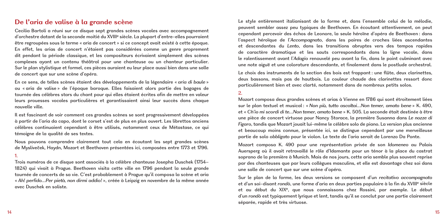# **De l'aria de valise à la grande scène**

Cecilia Bartoli a réuni sur ce disque sept grandes scènes vocales avec accompagnement d'orchestre datant de la seconde moitié du XVIIIe siècle. La plupart d'entre-elles pourraient être regroupées sous le terme « aria de concert » si ce concept avait existé à cette époque. En effet, les arias de concert n'étaient pas considérées comme un genre proprement dit pendant la période classique, et les compositeurs écrivaient simplement des scènes complexes ayant un contenu théâtral pour une chanteuse ou un chanteur particulier. Sur le plan stylistique et formel, ces pièces auraient eu leur place aussi bien dans une salle de concert que sur une scène d'opéra.

En ce sens, de telles scènes étaient des développements de la légendaire « *aria di baule* » ou « aria de valise » de l'époque baroque. Elles faisaient alors partie des bagages de tournée des célèbres stars du chant pour qui elles étaient écrites afin de mettre en valeur leurs prouesses vocales particulières et garantissaient ainsi leur succès dans chaque nouvelle ville.

Il est fascinant de voir comment ces grandes scènes se sont progressivement développées à partir de l'aria da capo, dont le corset s'est de plus en plus ouvert. Les librettos anciens célèbres continuaient cependant à être utilisés, notamment ceux de Métastase, ce qui témoigne de la qualité de ses textes.

Nous pouvons comprendre clairement tout cela en écoutant les sept grandes scènes de Mysliveček, Haydn, Mozart et Beethoven présentées ici, composées entre 1773 et 1796.

#### 1.

Trois numéros de ce disque sont associés à la célèbre chanteuse Josepha Duschek (1754– 1824) qui vivait à Prague. Beethoven visita cette ville en 1796 pendant la seule grande tournée de concerts de sa vie. C'est probablement à Prague qu'il composa la scène et aria « *Ah! perfido…Per pietà, non dirmi addio!* », créée à Leipzig en novembre de la même année avec Duschek en soliste.

Le style entièrement italianisant de la forme et, dans l'ensemble celui de la mélodie, peuvent sembler assez peu typiques de Beethoven. En écoutant attentivement, on peut cependant percevoir des échos de Leonore, la seule héroïne d'opéra de Beethoven : dans l'aspect héroïque de l'*Accompagnato*, dans les paires de croches liées ascendantes et descendantes du *Lento*, dans les transitions abruptes vers des tempos rapides de caractère dramatique et les sauts correspondants dans la ligne vocale, dans le ralentissement avant l'*Adagio* renouvelé peu avant la fin, dans le point culminant avec une note aiguë et une colorature descendante, et finalement dans le postlude orchestral. Le choix des instruments de la section des bois est frappant : une flûte, deux clarinettes,

deux bassons, mais pas de hautbois. La couleur chaude des clarinettes ressort donc particulièrement bien et avec clarté, notamment dans de nombreux petits solos.

#### 2.

Mozart composa deux grandes scènes et arias à Vienne en 1786 qui sont étroitement liées sur le plan textuel et musical : « *Non più, tutto ascoltai…Non temer, amato bene* » K. 490, et « *Ch'io mi scordi di te…Non temer, amato bene* » K. 505. La seconde était destinée à être une pièce de concert virtuose pour Nancy Storace, la première Susanna dans *Le nozze di Figaro*, tandis que Mozart jouait lui-même le célèbre solo de piano. La version plus ancienne et beaucoup moins connue, présentée ici, se distingue cependant par une merveilleuse partie de solo *obbligato* pour le violon. Le texte de l'aria serait de Lorenzo Da Ponte.

Mozart composa K. 490 pour une représentation privée de son *Idomeneo* au Palais Auersperg où il avait retravaillé le rôle d'Idamante pour un ténor à la place du castrat soprano de la première à Munich. Mais de nos jours, cette aria semble plus souvent reprise par des chanteuses que par leurs collègues masculins, et elle est davantage chez soi dans une salle de concert que sur une scène d'opéra.

Sur le plan de la forme, les deux versions se composent d'un *recitativo accompagnato* et d'un soi-disant *rondò*, une forme d'aria en deux parties populaire à la fin du XVIII<sup>e</sup> siècle et au début du XIXe, que nous connaissons chez Rossini, par exemple. Le début d'un *rondò* est typiquement lyrique et lent, tandis qu'il se conclut par une partie clairement séparée, rapide et très virtuose.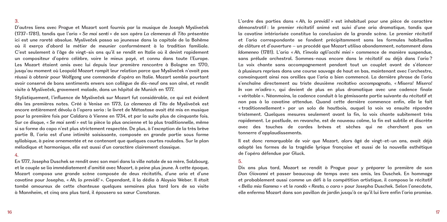# 3.

D'autres liens avec Prague et Mozart sont fournis par la musique de Joseph Mysliveček (1737–1781), tandis que l'aria « *Se mai senti* » de son opéra *La clemenza di Tito* présentée ici est une rareté absolue. Mysliveček passa sa jeunesse dans la capitale de la Bohême où il exerça d'abord le métier de meunier conformément à la tradition familiale. C'est seulement à l'âge de vingt-six ans qu'il se rendit en Italie où il devint rapidement un compositeur d'opéra célèbre, voire le mieux payé, et connu dans toute l'Europe. Les Mozart étaient amis avec lui depuis leur première rencontre à Bologne en 1770, jusqu'au moment où Leopold Mozart rompit leur relation parce que Mysliveček n'avait pas réussi à obtenir pour Wolfgang une commande d'opéra en Italie. Mozart semble pourtant avoir conservé de bons sentiments envers son collègue de dix-neuf ans son aîné, et rendit visite à Mysliveček, gravement malade, dans un hôpital de Munich en 1777.

Stylistiquement, l'influence de Mysliveček sur Mozart fut considérable, ce qui est évident dès les premières notes. Créé à Venise en 1773, *La clemenza di Tito* de Mysliveček est encore entièrement dévolu à l'opera seria : le livret de Métastase avait été mis en musique pour la première fois par Caldara à Vienne en 1734, et par la suite plus de cinquante fois. Sur ce disque, « *Se mai senti* » est la pièce la plus ancienne et la plus traditionnelle, même si sa forme da capo n'est plus strictement respectée. De plus, à l'exception de la très brève partie B, l'aria est d'une intimité saisissante, composée en grande partie sous forme syllabique, à peine ornementée et ne contenant que quelques courtes roulades. Sur le plan mélodique et harmonique, elle est aussi d'un caractère clairement classique.

#### 4.

En 1777, Josepha Duschek se rendit avec son mari dans la ville natale de sa mère, Salzbourg, et le couple se lia immédiatement d'amitié avec Mozart, à peine plus jeune. À cette époque, Mozart composa une grande scène composée de deux récitatifs, d'une aria et d'une cavatine pour Josepha, « *Ah, lo previdi!* ». Cependant, il la dédia à Aloysia Weber. Il était tombé amoureux de cette chanteuse quelques semaines plus tard lors de sa visite à Mannheim, et cinq ans plus tard, il épousera sa sœur Constanze.

L'ordre des parties dans « *Ah, lo previdi!* » est inhabituel pour une pièce de caractère démonstratif : le premier récitatif animé est suivi d'une aria dramatique, tandis que la cavatine intériorisée constitue la conclusion de la grande scène. Le premier récitatif et l'aria correspondante se fondent précipitamment sans les formules habituelles de clôture et d'ouverture – un procédé que Mozart utilisa abondamment, notamment dans *Idomeneo* (1781). L'aria « *Ah, t'invola agli'occhi miei* » commence de manière suspendue, sans prélude orchestral. Sommes-nous encore dans le récitatif ou déjà dans l'aria ? La voix chante sans accompagnement pendant tout un couplet avant de s'élancer à plusieurs reprises dans une course sauvage de haut en bas, maintenant avec l'orchestre, convainquant ainsi nos oreilles que l'aria a bien commencé. La dernière phrase de l'aria s'enchaîne directement au triste deuxième *recitativo accompagnato*, « *Misera! Misera! In van m'adiro* », qui devient de plus en plus dramatique avec une cadence finale « véritable ». Néanmoins, la cadence conduit à la gémissante partie suivante du récitatif et non pas à la cavatine attendue. Quand cette dernière commence enfin, elle le fait « traditionnellement » par un solo de hautbois, auquel la voix va ensuite répondre tristement. Quelques mesures seulement avant la fin, la voix chante subitement très rapidement. Le postlude, en revanche, est de nouveau calme, la fin est subtile et discrète avec des touches de cordes brèves et sèches qui ne cherchent pas un tonnerre d'applaudissements.

Il est donc remarquable de voir que Mozart, alors âgé de vingt-et-un ans, avait déjà adopté les formes de la tragédie lyrique française et aussi de la nouvelle esthétique de l'opéra défendue par Gluck.

## 5.

Dix ans plus tard, Mozart se rendit à Prague pour y préparer la première de son *Don Giovanni* et passer beaucoup de temps avec ses amis, les Duschek. En hommage et probablement aussi comme un défi à la compétition artistique, il composa le récitatif « *Bella mia fiamma* » et le *rondò* « *Resta, o cara* » pour Josepha Duschek. Selon l'anecdote, elle enferma Mozart dans son pavillon de jardin jusqu'à ce qu'il lui livre enfin l'aria promise.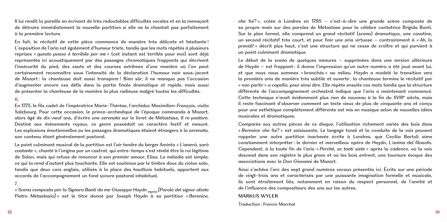Il lui rendit la pareille en écrivant de très redoutables difficultés vocales et en la menaçant de détruire immédiatement la nouvelle partition si elle ne la chantait pas parfaitement à la première lecture.

En fait, le récitatif de cette pièce commence de manière très délicate et hésitante ! L'exposition de l'aria est également d'humeur triste, tandis que les mots répétés à plusieurs reprises « *questo passo è terribile per me* » (cet instant est terrible pour moi) sont déjà représentés ici acoustiquement par des passages chromatiques frappants qui décrivent l'insécurité du pied, des sauts et des courses extrêmes d'une manière où l'on peut certainement reconnaître sous l'intensité de la déclaration l'humour noir sous-jacent de Mozart : la chanteuse doit aussi transpirer ! Bien sûr, il ne manqua pas l'occasion d'augmenter encore ces défis dans la partie finale dramatique et rapide, mais aussi de présenter la chanteuse de la manière la plus radieuse malgré toutes les difficultés.

#### 6.

En 1775, le fils cadet de l'impératrice Marie-Thérèse, l'archiduc Maximilien-François, visita Salzbourg. Pour cette occasion, le prince-archevêque de l'époque commanda à Mozart, alors âgé de dix-neuf ans, d'écrire une *serenata* sur le livret de Métastase, *Il re pastore.*  Destiné aux événements royaux, ce genre possédait un caractère festif et mesuré. Les explosions émotionnelles ou les passages dramatiques étaient étrangers à la *serenata*, son contenu étant généralement pastoral.

Le point culminant musical de la partition est l'air tendre du berger Aminta « *L'amerò, sarò costante* », chanté à l'origine par un castrat, qui entre-temps s'est révélé être le roi légitime de Sidon, mais qui refuse de renoncer à son premier amour, Elisa. La mélodie est simple, ce qui la rend d'autant plus touchante. Elle est soutenue par le timbre doux du violon solo, tandis que deux cors anglais, utilisés à la place des hautbois habituels, apportent aux accords de l'accompagnement un fond sonore pastoral inhabituel.

7.

« *Scena composta per la Signora Banti da me Giuseppe Haydn mpria [Parole del signor abate Pietro Metastasio]* » est le titre donné par Joseph Haydn à sa partition « *Berenice,* 

*che fai?* », créée à Londres en 1795 – c'est-à-dire une grande scène composée de sa propre main sur des paroles de Métastase pour la célèbre cantatrice Brigida Banti. Sur le plan formel, elle comprend un grand récitatif (*scena*) dramatique, une cavatine, un second récitatif très court, et pour finir une aria virtuose – contrairement à « *Ah, lo previdi!* » décrit plus haut, c'est une structure qui ne cesse de croître et qui parvient à un point culminant dramatique.

Le début de la *scena* de quelques mesures – supprimées dans une version ultérieure de Haydn – est frappant : il donne l'impression qu'un autre numéro a été joué avant lui, et que nous nous sommes « branchés » au milieu. Haydn a modelé la transition vers la première aria de manière très subtile et ouverte : la chanteuse termine le récitatif par « non partir » *a capella*, pour ainsi dire. Elle répète ensuite ces mots tandis que la structure différente de l'accompagnement orchestral indique que l'aria a maintenant commencé. Cette technique n'avait évidemment plus rien de nouveau à la fin du XVIIIe siècle, mais il reste fascinant d'observer comment un texte vieux de plus de cinquante ans et conçu pour une esthétique complètement différente est mis en musique selon de nouvelles idées musicales et dramatiques.

Comparée aux autres pièces de ce disque, l'utilisation richement variée des bois dans « *Berenice che fai?* » est saisissante. Le langage tonal et la conduite de la voix peuvent rappeler une autre partition inachevée écrite à Londres, que Cecilia Bartoli aime constamment interpréter : le dernier et merveilleux opéra de Haydn, *L'anima del filosofo*. Cependant, à la toute fin de l'aria « *Perché, se tanti siete* » après la cadence, où la voix descend dans son registre le plus grave et où les bois entrent, une tournure évoque des associations avec le *Don Giovanni* de Mozart.

Ainsi s'achève l'arc des sept grand numéros vocaux présentés ici. Écrits sur une période de vingt-trois ans et caractérisés par une puissante imagination formelle et musicale, ils sont étroitement liés, notamment en raison du respect personnel, de l'amitié et de l'influence des compositeurs des uns sur les autres.

# **MARKUS WYLER**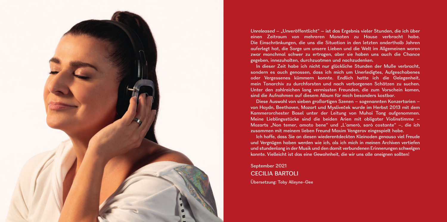

*Unreleased –* "Unveröffentlicht" – ist das Ergebnis vieler Stunden, die ich über einen Zeitraum von mehreren Monaten zu Hause verbracht habe. Die Einschränkungen, die uns die Situation in den letzten anderthalb Jahren auferlegt hat, die Sorge um unsere Lieben und die Welt im Allgemeinen waren zwar manchmal schwer zu ertragen, aber sie haben uns auch die Chance gegeben, innezuhalten, durchzuatmen und nachzudenken.

In dieser Zeit habe ich nicht nur glückliche Stunden der Muße verbracht, sondern es auch genossen, dass ich mich um Unerledigtes, Aufgeschobenes oder Vergessenes kümmern konnte. Endlich hatte ich die Gelegenheit, mein Tonarchiv zu durchforsten und nach verborgenen Schätzen zu suchen. Unter den zahlreichen lang vermissten Freunden, die zum Vorschein kamen, sind die Aufnahmen auf diesem Album für mich besonders kostbar.

Diese Auswahl von sieben großartigen Szenen – sogenannten Konzertarien – von Haydn, Beethoven, Mozart und Mysliveček wurde im Herbst 2013 mit dem Kammerorchester Basel unter der Leitung von Muhai Tang aufgenommen. Meine Lieblingsstücke sind die beiden Arien mit obligater Violinstimme – Mozarts "Non temer, amato bene" und "L'amerò, sarò costante" –, die ich zusammen mit meinem lieben Freund Maxim Vengerov eingespielt habe.

Ich hoffe, dass Sie an diesen wiederentdeckten Kleinoden genauso viel Freude und Vergnügen haben werden wie ich, als ich mich in meinen Archiven vertiefen und stundenlang in der Musik und den damit verbundenen Erinnerungen schwelgen konnte. Vielleicht ist das eine Gewohnheit, die wir uns alle aneignen sollten!

September 2021 CECILIA BARTOLI Übersetzung: Toby Alleyne-Gee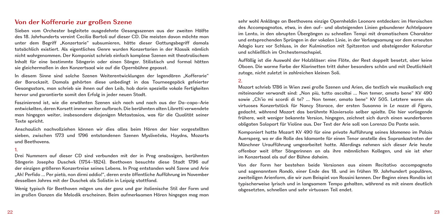# **Von der Kofferarie zur großen Szene**

Sieben vom Orchester begleitete ausgedehnte Gesangsszenen aus der zweiten Hälfte des 18. Jahrhunderts vereint Cecilia Bartoli auf dieser CD. Die meisten davon möchte man unter dem Begriff "Konzertarie" subsumieren, hätte dieser Gattungsbegriff damals tatsächlich existiert. Als eigentliches Genre wurden Konzertarien in der Klassik nämlich nicht wahrgenommen. Der Komponist schrieb einfach komplexe Szenen mit theatralischem Inhalt für eine bestimmte Sängerin oder einen Sänger. Stilistisch und formal hätten sie gleichermaßen in den Konzertsaal wie auf die Opernbühne gepasst.

In diesem Sinne sind solche Szenen Weiterentwicklungen der legendären "Kofferarie" der Barockzeit. Damals gehörten diese unbedingt in das Tourneegepäck gefeierter Gesangsstars, man schrieb sie ihnen auf den Leib, hob darin spezielle vokale Fertigkeiten hervor und garantierte somit den Erfolg in jeder neuen Stadt.

Faszinierend ist, wie die erwähnten Szenen sich nach und nach aus der Da-capo-Arie entwickelten, deren Korsett immer weiter aufbrach. Die berühmten alten Libretti verwendete man hingegen weiter, insbesondere diejenigen Metastasios, was für die Qualität seiner Texte spricht.

Anschaulich nachvollziehen können wir dies alles beim Hören der hier vorgestellten sieben, zwischen 1773 und 1796 entstandenen Szenen Myslivečeks, Haydns, Mozarts und Beethovens.

#### 1.

Drei Nummern auf dieser CD sind verbunden mit der in Prag ansässigen, berühmten Sängerin Josepha Duschek (1754–1824). Beethoven besuchte diese Stadt 1796 auf der einzigen größeren Konzertreise seines Lebens. In Prag entstanden wohl Szene und Arie "Ah! Perfido … Per pietà, non dirmi addio!", deren erste öffentliche Aufführung im November desselben Jahres mit der Duschek als Solistin in Leipzig stattfand.

Wenig typisch für Beethoven mögen uns der ganz und gar italienische Stil der Form und im großen Ganzen die Melodik erscheinen. Beim aufmerksamen Hören hingegen mag man sehr wohl Anklänge an Beethovens einzige Opernheldin Leonore entdecken: im Heroischen des Accompagnatos, etwa, in den auf- und absteigenden Linien gebundener Achtelpaare im Lento, in den abrupten Übergängen zu schnellen Tempi mit dramatischem Charakter und entsprechenden Sprüngen in der vokalen Linie, in der Verlangsamung vor dem erneuten Adagio kurz vor Schluss, in der Kulmination mit Spitzenton und absteigender Koloratur und schließlich im Orchesternachspiel.

Auffällig ist die Auswahl der Holzbläser: eine Flöte, der Rest doppelt besetzt, aber keine Oboen. Die warme Farbe der Klarinetten tritt daher besonders schön und mit Deutlichkeit zutage, nicht zuletzt in zahlreichen kleinen Soli.

# 2.

Mozart schrieb 1786 in Wien zwei große Szenen und Arien, die textlich wie musikalisch eng miteinander verwandt sind: "Non più, tutto ascoltai … Non temer, amato bene" KV 490 sowie "Ch'io mi scordi di te? … Non temer, amato bene" KV 505. Letztere waren als virtuoses Konzertstück für Nancy Storace, der ersten Susanna in *Le nozze di Figaro*, gedacht, während Mozart das berühmte Klaviersolo selber spielte. Die hier vorliegende frühere, weit weniger bekannte Version, hingegen, zeichnet sich durch einen wunderbaren obligaten Solopart für Violine aus. Der Text der Arie soll von Lorenzo Da Ponte sein.

Komponiert hatte Mozart KV 490 für eine private Aufführung seines *Idomeneo* im Palais Auersperg, wo er die Rolle des Idamante für einen Tenor anstelle des Soprankastraten der Münchner Uraufführung umgearbeitet hatte. Allerdings nehmen sich dieser Arie heute offenbar weit öfter Sängerinnen an als ihre männlichen Kollegen, und sie ist eher im Konzertsaal als auf der Bühne daheim.

Von der Form her bestehen beide Versionen aus einem Recitativo accompagnato und sogenanntem *Rondò*, einer Ende des 18. und im frühen 19. Jahrhundert populären, zweiteiligen Arienform, die wir zum Beispiel von Rossini kennen. Der Beginn eines Rondòs ist typischerweise lyrisch und in langsamem Tempo gehalten, während es mit einem deutlich abgesetzten, schnellen und sehr virtuosen Teil endet.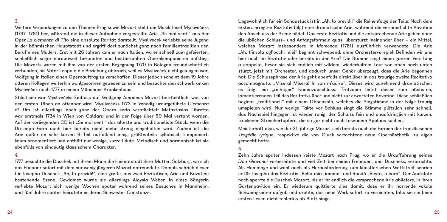## 3.

Weitere Verbindungen zu den Themen Prag sowie Mozart stellt die Musik Josef Myslivečeks (1737–1781) her, während die in dieser Aufnahme vorgestellte Arie "Se mai senti" aus der Oper *La clemenza di Tito* eine absolute Rarität darstellt. Mysliveček verlebte seine Jugend in der böhmischen Hauptstadt und ergriff dort zunächst ganz nach Familientradition den Beruf eines Müllers. Erst mit 26 Jahren kam er nach Italien, wo er schnell zum gefeierten, schließlich sogar europaweit bekannten und bestbezahlten Opernkomponisten aufstieg. Die Mozarts waren mit ihm von der ersten Begegnung 1770 in Bologna freundschaftlich verbunden, bis Vater Leopold die Beziehung abbrach, weil es Mysliveček nicht gelungen war, Wolfgang in Italien einen Opernauftrag zu verschaffen. Dieser jedoch scheint dem 19 Jahre älteren Kollegen weiterhin wohlgesonnen gewesen zu sein und besuchte den schwerkranken Mysliveček noch 1777 in einem Münchner Krankenhaus.

Stilistisch war Myslivečeks Einfluss auf Wolfgang Amadeus Mozart beträchtlich, was von den ersten Tönen an offenbar wird. Myslivečeks 1773 in Venedig uraufgeführte *Clemenza di Tito* ist allerdings noch ganz der Opera seria verpflichtet: Metastasios Libretto war erstmals 1734 in Wien von Caldara und in der Folge über 50 Mal vertont worden. Auf der vorliegenden CD ist "Se mai senti" das älteste und traditionellste Stück, wenn die Da-capo-Form auch hier bereits nicht mehr streng eingehalten wird. Zudem ist die Arie außer im sehr kurzen B-Teil auffallend innig, größtenteils syllabisch komponiert, kaum ornamentiert und enthält nur wenige, kurze Läufe. Melodisch und harmonisch ist sie ebenfalls von eindeutig klassischem Charakter.

#### 4.

1777 besuchte die Duschek mit ihrem Mann die Heimatstadt ihrer Mutter, Salzburg, wo sich das Ehepaar sofort mit dem nur wenig jüngeren Mozart anfreundete. Damals schrieb dieser für Josepha Duschek "Ah, lo previdi!", eine große, aus zwei Rezitativen, Arie und Kavatine bestehende Szene. Gewidmet wurde sie allerdings Aloysia Weber. In diese Sängerin verliebte Mozart sich wenige Wochen später während seines Besuches in Mannheim, und fünf Jahre später heiratete er deren Schwester Constanze.

Ungewöhnlich für ein Schaustück ist in "Ah, lo previdi!" die Reihenfolge der Teile: Nach dem ersten, erregten Rezitativ folgt eine dramatische Arie, während die verinnerlichte Kavatine den Abschluss der Szene bildet. Das erste Rezitativ und die entsprechende Arie gehen ohne die üblichen Schluss- und Anfangsformeln quasi überstürzt ineinander über – ein Mittel, welches Mozart insbesondere in *Idomeneo* (1781) ausführlich verwendete. Die Arie "Ah, t'invola agl'occhi miei" beginnt schwebend, ohne Orchestervorspiel. Befinden wir uns hier noch im Rezitativ oder bereits in der Arie? Die Stimme singt einen ganzen Vers lang a cappella, bevor sie sich endlich mit wildem, wiederholtem Lauf von oben nach unten stürzt, jetzt mit Orchester, und dadurch unser Gehör überzeugt, dass die Arie begonnen hat. Die Schlussphrase der Arie geht ebenfalls direkt über in das traurige zweite Recitativo accompagnato, "Misera! Misera! In van m'adiro". Dieses wird zunehmend dramatischer, es folgt ein "richtiger" Kadenzabschluss. Trotzdem leitet dieser zum nächsten, lamentierenden Teil des Rezitativs über und nicht zur erwarteten Kavatine. Diese schließlich beginnt "traditionell" mit einem Oboensolo, welches die Singstimme in der Folge traurig umspielen wird. Nur wenige Takte vor Schluss singt die Stimme plötzlich sehr schnell, das Nachspiel hingegen ist wieder ruhig, der Schluss fein und unaufdringlich mit kurzen, trockenen Streichertupfern, die so gar nicht nach tosendem Applaus suchen.

Meisterhaft also, wie der 21-jährige Mozart sich bereits auch die Formen der französischen *Tragédie lyrique*, respektive die von Gluck verfochtene neue Opernästhetik, zu eigen gemacht hatte.

# 5.

Zehn Jahre später indessen reiste Mozart nach Prag, wo er die Uraufführung seines *Don Giovanni* vorbereitete und viel Zeit bei seinen Freunden, den Duscheks, verbrachte. Als Hommage und wohl auch als Herausforderung zum künstlerischen Wettstreit schrieb er für Josepha das Rezitativ "Bella mia fiamma" und Rondò "Resta, o cara". Der Anekdote nach sperrte die Duschek Mozart, bis er ihr endlich die versprochene Arie abliefere, in ihren Gartenpavillon ein. Er wiederum quittierte dies damit, dass er ihr horrende vokale Schwierigkeiten aufgab und drohte, das neue Werk sofort zu vernichten, falls sie sie beim ersten Lesen nicht fehlerlos ab Blatt singe.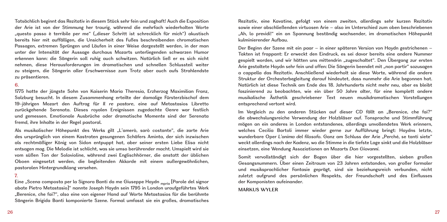Tatsächlich beginnt das Rezitativ in diesem Stück sehr fein und zaghaft! Auch die Exposition der Arie ist von der Stimmung her traurig, während die mehrfach wiederholten Worte "questo passo è terribile per me" ("dieser Schritt ist schrecklich für mich") akustisch bereits hier mit auffälligen, die Unsicherheit des Fußes beschreibenden chromatischen Passagen, extremen Sprüngen und Läufen in einer Weise dargestellt werden, in der man unter der Intensität der Aussage durchaus Mozarts unterliegenden schwarzen Humor erkennen kann: die Sängerin soll ruhig auch schwitzen. Natürlich ließ er es sich nicht nehmen, diese Herausforderungen im dramatischen und schnellen Schlussteil weiter zu steigern, die Sängerin aller Erschwernisse zum Trotz aber auch aufs Strahlendste zu präsentieren.

# 6.

1775 hatte der jüngste Sohn von Kaiserin Maria Theresia, Erzherzog Maximilian Franz, Salzburg besucht. In diesem Zusammenhang erteilte der damalige Fürsterzbischof dem 19-jährigen Mozart den Auftrag für *Il re pastore*, eine auf Metastasios Libretto zurückgehende Serenata. Dieses royalen Ereignissen zugedachte Genre war festlich und gemessen. Emotionale Ausbrüche oder dramatische Momente sind der Serenata fremd, ihre Inhalte in der Regel pastoral.

Als musikalischer Höhepunkt des Werks gilt "L'amerò, sarò costante", die zarte Arie des ursprünglich von einem Kastraten gesungenen Schäfers Aminta, der sich inzwischen als rechtmäßiger König von Sidon entpuppt hat, aber seiner ersten Liebe Elisa nicht entsagen mag. Die Melodie ist schlicht, was sie umso berührender macht. Umspielt wird sie vom süßen Ton der Solovioline, während zwei Englischhörner, die anstatt der üblichen Oboen eingesetzt werden, die begleitenden Akkorde mit einem außergewöhnlichen, pastoralen Hintergrundklang versehen.

## 7.

Eine "Scena composta per la Signora Banti da me Giuseppe Haydn <sub>mpria</sub> [Parole del signor abate Pietro Metastasio]" nannte Joseph Haydn sein 1795 in London uraufgeführtes Werk "Berenice, che fai?", also eine von eigener Hand auf Worte Metastasios für die berühmte Sängerin Brigida Banti komponierte Szene. Formal umfasst sie ein großes, dramatisches

Rezitativ, eine Kavatine, gefolgt von einem zweiten, allerdings sehr kurzen Rezitativ sowie einer abschließenden virtuosen Arie – also im Unterschied zum oben beschriebenen "Ah, lo previdi!" ein an Spannung beständig wachsender, im dramatischen Höhepunkt kulminierender Aufbau.

Der Beginn der Szene mit ein paar – in einer späteren Version von Haydn gestrichenen – Takten ist frappant: Er erweckt den Eindruck, es sei davor bereits eine andere Nummer gespielt worden, und wir hätten uns mittendrin "zugeschaltet". Den Übergang zur ersten Arie gestaltete Haydn sehr fein und offen: Die Sängerin beendet mit "non partir" sozusagen a cappella das Rezitativ. Anschließend wiederholt sie diese Worte, während die andere Struktur der Orchesterbegleitung darauf hindeutet, dass nunmehr die Arie begonnen hat. Natürlich ist diese Technik am Ende des 18. Jahrhunderts nicht mehr neu, aber es bleibt faszinierend zu beobachten, wie ein über 50 Jahre alter, für eine komplett andere musikalische Ästhetik geschriebener Text neuen musikdramatischen Vorstellungen entsprechend vertont wird.

Im Vergleich zu den anderen Stücken auf dieser CD fällt an "Berenice, che fai?" die abwechslungsreiche Verwendung der Holzbläser auf. Tonsprache und Stimmführung mögen an ein anderes in London entstandenes, allerdings unvollendetes Werk erinnern, welches Cecilia Bartoli immer wieder gerne zur Aufführung bringt: Haydns letzte, wunderbare Oper *L'anima del filosofo*. Ganz am Schluss der Arie "Perché, se tanti siete" weckt allerdings nach der Kadenz, wo die Stimme in die tiefste Lage sinkt und die Holzbläser einsetzen, eine Wendung Assoziationen an Mozarts *Don Giovanni*.

Somit vervollständigt sich der Bogen über die hier vorgestellten, sieben großen Gesangsnummern. Über einen Zeitraum von 23 Jahren entstanden, von großer formaler und musiksprachlicher Fantasie geprägt, sind sie beziehungsreich verbunden, nicht zuletzt aufgrund des persönlichen Respekts, der Freundschaft und des Einflusses der Komponisten aufeinander.

#### **MARKUS WYLER**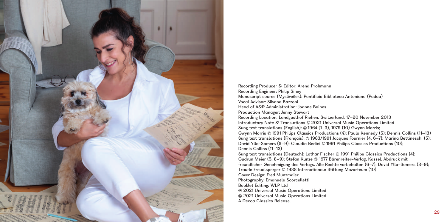

Recording Producer & Editor: Arend Prohmann Recording Engineer: Philip Siney Manuscript source (Mysliveček): Pontificia Biblioteca Antoniana (Padua) Vocal Advisor: Silvana Bazzoni Head of A&R Administration: Joanne Baines Production Manager: Jenny Stewart Recording Location: Landgasthof Riehen, Switzerland, 17–20 November 2013 Introductory Note & Translations © 2021 Universal Music Operations Limited Sung text translations (English): © 1964 (1–3), 1979 (10) Gwynn Morris: Gwynn Morris C 1991 Philips Classics Productions (4); Paula Kennedy (5); Dennis Collins (11–13) Sung text translations (Français): © 1983/1991 Jacques Fournier (4, 6-7); Marina Bettineschi (5); David Ylla-Somers (8-9); Claudia Bedini © 1991 Philips Classics Productions (10); Dennis Collins (11–13) Sung text translations (Deutsch): Lothar Fischer C 1991 Philips Classics Productions (4); Gudrun Meier (5, 8–9); Stefan Kunze C 1977 Bärenreiter-Verlag, Kassel. Abdruck mit freundlicher Genehmigung des Verlags. Alle Rechte vorbehalten (6–7); David Ylla-Somers (8–9); Traude Freudlsperger C 1988 Internationale Stiftung Mozarteum (10) Cover Design: Fred Münzmaier Photography: Emanuele Scorcelletti Booklet Editing: WLP Ltd P 2021 Universal Music Operations Limited C 2021 Universal Music Operations Limited A Decca Classics Release.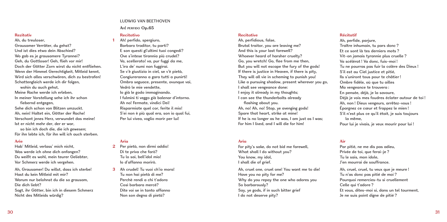# **Rezitativ**

Ah, du treuloser, Grausamer Verräter, du gehst? Und ist dies etwa dein Abschied? Wo gab es je grausamere Tyrannei? Geh, du Gottloser! Geh, flieh vor mir! Doch der Götter Zorn wirst du nicht entfliehen. Wenn der Himmel Gerechtigkeit, Mitleid kennt, Wird sich alles verschwören, dich zu bestrafen! Schattengleich werde ich dir folgen, wohin du auch gehst Meine Rache werde ich erleben, In meiner Vorstellung sehe ich ihr schon fiebernd entgegen, Sehe dich schon von Blitzen umzuckt.

Ah, nein! Haltet ein, Götter der Rache! Verschont jenes Herz, verwundet das meine! Ist er nicht mehr der, der er war,

so bin ich doch die, die ich gewesen; Für ihn lebte ich, für ihn will ich auch sterben.

#### **Arie**

Hab' Mitleid, verlass' mich nicht, Was werde ich ohne dich anfangen? Du weißt es wohl, mein teurer Geliebter, Vor Schmerz werde ich vergehen.

Ah, Grausamer! Du willst, dass ich sterbe! Hast du kein Mitleid mit mir? Warum nur belohnst du die so grausam, Die dich liebt? Sagt, ihr Götter, bin ich in diesem Schmerz Nicht des Mitleids würdig?

## LUDWIG VAN BEETHOVEN

**Ah! perfido Op.65**

# **Recitativo**

**1** Ah! perfido, spergiuro, Barbaro traditor, tu parti? E son questi gl'ultimi tuoi congedi? Ove s'intese tirannia più crudel? Va, scellerato! va, pur fuggi da me, L'ira de' numi non fuggirai. Se v'è giustizia in ciel, se v'è pietà, Congiureranno a gara tutti a punirti! Ombra seguace, presente, ovunque vai, Vedrò le mie vendette, Io già le godo immaginando. I fulmini ti veggo già balenar d'intorno. Ah no! Fermate, vindici Dei! Risparmiate quel cor, ferite il mio! S'ei non è più qual era, son io qual fui, Per lui vivea, voglio morir per lui!

#### **Aria**

- **2** Per pietà, non dirmi addio! Di te priva che farò? Tu lo sai, bell'idol mio! Io d'affanno morirò.
- **3** Ah crudel! Tu vuoi ch'io mora! Tu non hai pietà di me? Perchè rendi a chi t'adora Così barbara mercè? Dite voi se in tanto affanno Non son degna di pietà?

#### **Recitative**

Ah, perfidious, false, Brutal traitor, you are leaving me? And this is your last farewell? Whoever heard of harsher cruelty? Go, you wretch! Go, flee from me then, But you will not escape the fury of the gods! If there is justice in Heaven, if there is pity, They will all vie in scheming to punish you! Like a pursuing shadow, present wherever you go, I shall see vengeance done: I enjoy it already in my thoughts; I can see the thunderbolts already flashing about you. Ah, no! Ah, no! Stop, ye avenging gods! Spare that heart, strike at mine! If he is no longer as he was, I am just as I was; For him I lived, and I will die for him!

## **Aria**

For pity's sake, do not bid me farewell, What shall I do without you? You know, my idol, I shall die of grief.

Ah, cruel one, cruel one! You want me to die! Have you no pity for me? Why do you repay the one who adores you So barbarously? Say, ye gods, if in such bitter grief I do not deserve pity?

#### **Récitatif**

Ah, perfide, parjure, Traître inhumain, tu pars donc ? Et ce sont là tes derniers mots ? Vit-on jamais tyrannie plus cruelle ? Va scélérat ! Va donc, fuis-moi ! Tu ne pourras pas fuir la colère des Dieux ! S'il est au Ciel justice et pitié, Ils s'uniront tous pour te châtier ! Ombre fidèle, où que tu ailles Ma vengeance te trouvera : En pensée, déjà, je la savoure, Déjà je vois mes foudres éclater autour de toi ! Ah, non ! Dieux vengeurs, arrêtez-vous ! Épargnez ce cœur et frappez le mien ! S'il n'est plus ce qu'il était, je suis toujours la même, Pour lui je vivais, je veux mourir pour lui !

# **Air**

Par pitié, ne me dis pas adieu, Privée de toi, que ferai-je ? Tu le sais, mon idole, J'en mourrai de souffrance.

Ah, cruel, cruel, tu veux que je meure ! Tu n'as donc pas pitié de moi ? Pourquoi remercies-tu si cruellement Celle qui t'adore ? Et vous, dites-moi si, dans un tel tourment, Je ne suis point digne de pitié ?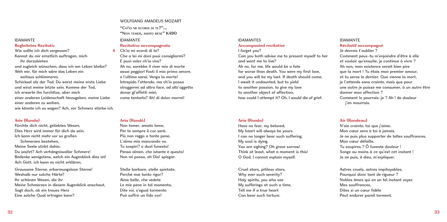## IDAMANTE

#### **Begleitetes Rezitativ**

Wie sollte ich dich vergessen? Kannst du mir ernstlich auftragen, mich ihr darzubieten und zugleich wünschen, dass ich am Leben bleibe?

Weh mir, für mich wäre das Leben ein weitaus schlimmeres

Schicksal als der Tod. Du warst meine erste Liebe und wirst meine letzte sein. Komme der Tod, ich erwarte ihn furchtlos, aber mich einer anderen Leidenschaft hinzugeben, meine Liebe

einer anderen zu weihen,

wie könnte ich es wagen? Ach, vor Schmerz stürbe ich.

## **Arie (Rondo)**

Fürchte dich nicht, geliebtes Wesen, Dies Herz wird immer für dich da sein. Ich kann nicht mehr vor so großen Schmerzen bestehen, Meine Seele stirbt dahin. Du seufzt? Ach verhängnisvoller Schmerz! Bedenke wenigstens, welch ein Augenblick dies ist! Ach Gott, ich kann es nicht erklären.

Grausame Sterne, erbarmungslose Sterne! Weshalb nur solche Härte? Ihr schönen Wesen, die ihr Meine Schmerzen in diesem Augenblick anschaut, Sagt doch, ob ein treues Herz Eine solche Qual ertragen kann?

#### WOLFGANG AMADEUS MOZART

**"Ch'io mi scordi di te?"… "Non temer, amato bene" K490**

# IDAMANTE

# **Recitativo accompagnato**

**4** Ch'io mi scordi di te? Che a lei mi doni puoi consigliarmi? E puoi voler ch'io viva? Ah no, sarebbe il viver mio di morte assai peggior! Fosti il mio primo amore, e l'ultimo sarai. Venga la morte! Intrepido l'attendo, ma ch'io possa struggermi ad altra face, ad altr'oggetto donar gl'affetti miei, come tentarlo? Ah! di dolor morrei!

#### **Aria (Rondò)**

Non temer, amato bene, Per te sempre il cor sarà. Più non reggo a tante pene, L'alma mia mancando va. Tu sospiri? o duol funesto! Pensa almen, che istante è questo! Non mi posso, oh Dio! spiegar.

Stelle barbare, stelle spietate, Perché mai tanto rigor? Alme belle, che vedete Le mie pene in tal momento, Dite voi, s'egual tormento Può soffrir un fido cor!

#### IDAMANTES **Accompanied recitative**

I forget you? Can you both advise me to present myself to her and want me to live? Ah no, for me, life would be a fate far worse than death. You were my first love, and you will be my last. If death should come, I await it undaunted, but to yield to another passion, to give my love to another object of affection, how could I attempt it? Oh, I would die of grief.

#### **Aria (Rondo)**

Have no fear, my beloved, My heart will always be yours. I can no longer bear such suffering, My soul is dying. You are sighing? Oh grave sorrow! Think at least, what a moment is this! O God, I cannot explain myself.

Cruel stars, pitiless stars, Why ever such severity? Holy spirits, you who see My sufferings at such a time, Tell me if a true heart Can bear such torture.

# IDAMANTE **Récitatif accompagné**

Je devrais t'oublier ? Comment peux-tu m'enjoindre d'être à elle et vouloir qu'ensuite, je continue à vivre ? Ah non, mon existence serait bien pire que la mort ! Tu étais mon premier amour, et tu seras le dernier. Que vienne la mort, je l'attends sans crainte, mais que pour une autre je puisse me consumer, à un autre être donner mon affection ? Comment le pourrais-je ? Ah ! de douleur j'en mourrais.

## **Air (Rondeau)**

N'aie crainte, toi que j'aime, Mon cœur sera à toi à jamais. Je ne puis plus supporter de telles souffrances, Mon cœur défaille. Tu soupires ? Ô funeste douleur ! Songe au moins à ce qu'est cet instant ! Je ne puis, ô dieu, m'expliquer.

Astres cruels, astres impitoyables, Pourquoi donc tant de rigueur ? Nobles âmes qui en un tel instant voyez Mes souffrances Dites si un cœur fidèle Peut endurer pareil torment.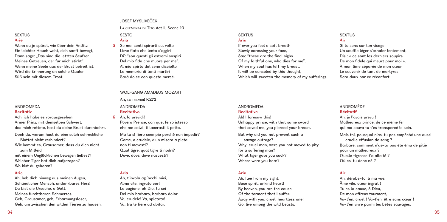# **SEXTUS Arie**

Wenn du je spürst, wie über dein Antlitz Ein leichter Hauch weht, sich sanft bewegt, Dann sage: Das sind die letzten Seufzer Meines Getreuen, der für mich stirbt". Wenn meine Seele aus der Brust befreit ist, Wird die Erinnerung an solche Qualen Süß sein mit diesem Trost.

#### **ANDROMEDA Rezitativ**

Ach, ich habe es vorausgesehen! Armer Prinz, mit demselben Schwert, das mich rettete, hast du deine Brust durchbohrt.

Doch du, warum hast du eine solch schreckliche Bluttat nicht verhindert?

Wie kommt es, Grausamer, dass du dich nicht zum Mitleid

mit einem Unglücklichen bewegen ließest? Welcher Tiger hat dich aufgezogen? Wo bist du geboren?

# **Arie**

Ah, heb dich hinweg aus meinen Augen, Schändlicher Mensch, undankbares Herz! Du bist die Ursache, o Gott, Meines furchtbaren Schmerzes. Geh, Grausamer, geh, Erbarmungsloser, Geh, um zwischen den wilden Tieren zu hausen.

# JOSEF MYSLIVEČEK

**L<sup>a</sup> clemenza di Tito** Act II, Scene 10

## **SESTO Aria**

**5** Se mai senti spirarti sul volto Lieve fiato che lento s'aggiri Di': "son questi gli estremi sospiri Del mio fido che muore per me". Al mio spirto dal seno disciolto La memoria di tanti martiri Sarà dolce con questa mercé.

#### WOLFGANG AMADELIS MOZART

# **Ah, lo previdi! K272**

**ANDROMEDA** 

# **Recitativo**

**6** Ah, lo previdi!

Povero Prence, con quel ferro istesso che me salvò, ti lacerasti il petto.

Ma tu sì fiero scempio perchè non impedir? Come, o crudele, d'un misero a pietà non ti movesti? Qual tigre, qual tigre ti nodrì? Dove, dove, dove nascesti?

# **Aria**

Ah, t'invola agl'occhi miei, Alma vile, ingrato cor! La cagione, oh Dio, tu sei Del mio barbaro, barbaro dolor. Va, crudele! Va, spietato! Va, tra le fiere ad abitar.

#### **SEXTUS Aria**

If ever you feel a soft breath Slowly caressing your face, Say: "these are the final sighs Of my faithful one, who dies for me". When my soul has left my breast. It will be consoled by this thought, Which will sweeten the memory of my sufferings.

#### **SEXTUS Air**

Si tu sens sur ton visage Un souffle léger s'exhaler lentement, Dis : « ce sont les derniers soupirs De mon fidèle qui meurt pour moi ». À mon âme séparée de mon cœur Le souvenir de tant de martyres Sera doux par ce réconfort.

# **ANDROMEDA**

#### **Recitative**

Ah! I foresaw this! Unhappy prince, with that same sword that saved me, you pierced your breast.

But why did you not prevent such a savage outrage? Why, cruel man, were you not moved to pity for a suffering man? What tiger gave you suck? Where were you born?

# **Aria**

Ah, flee from my sight, Base spirit, unkind heart! By heaven, you are the cause Of the torment that I suffer. Away with you, cruel, heartless one! Go, live among the wild beasts.

#### **ANDROMÈDE**

#### **Récitatif**

Ah, je l'avais prévu ! Malheureux prince, de ce même fer qui ma sauva tu t'es transpercé le sein. Mais toi, pourquoi n'as-tu pas empêché une aussi cruelle effusion de sang ? Barbare, comment n'as-tu pas été ému de pitié pour un malheureux ? Quelle tigresse t'a allaité ? Où es-tu donc né ?

# **Air**

Ah, dérobe-toi à ma vue, Âme vile, cœur ingrat ! Tu es la cause, ô Dieu, De mon affreux tourment Va-t'en, cruel ! Va-t'en, être sans cœur ! Va-t'en vivre parmi les bêtes sauvages.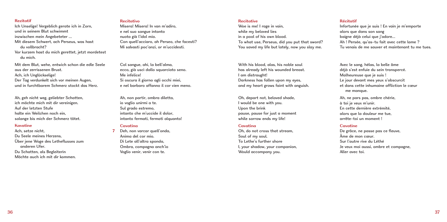#### **Rezitatif**

Ich Unselige! Vergeblich gerate ich in Zorn, und in seinem Blut schwimmt inzwischen mein Angebeteter …

- Mit diesem Schwert, ach Perseus, was hast du vollbracht?
- Vor kurzem hast du mich gerettet, jetzt mordetest du mich.

Mit dem Blut, wehe, entwich schon die edle Seele aus der zerrissenen Brust. Ach, ich Unglückselige!

Der Tag verdunkelt sich vor meinen Augen, und in furchtbarem Schmerz stockt das Herz.

Ah, geh nicht weg, geliebter Schatten, ich möchte mich mit dir vereinigen. Auf der letzten Stufe halte ein Weilchen noch ein, solange bis mich der Schmerz tötet.

#### **Kavatine**

Ach, setze nicht, Du Seele meines Herzens, Über jene Woge des Letheflusses zum anderen Ufer. Du Schatten, als Begleiterin Möchte auch ich mit dir kommen.

#### **Recitativo**

Misera! Misera! In van m'adiro, e nel suo sangue intanto nuota già l'idol mio. Con quell'acciaro, ah Perseo, che facesti? Mi salvasti poc'anzi, or m'uccidesti.

Col sangue, ahi, la bell'alma, ecco, già uscì dallo squarciato seno. Me infelice! Si oscura il giorno agli occhi miei, e nel barbaro affanno il cor vien meno.

Ah, non partir, ombra diletta, io voglio unirmi a te. Sul grado estremo, intanto che m'uccide il dolor, intanto fermati, fermati alguanto!

# **Cavatina**

**7** Deh, non varcar quell'onda, Anima del cor mio. Di Lete all'altra sponda, Ombra, compagna anch'io Voglio venir, venir con te.

#### **Recitative**

Woe is me! I rage in vain, while my beloved lies in a pool of his own blood. To what use, Perseus, did you put that sword? You saved my life but lately, now you slay me.

With his blood, alas, his noble soul has already left his wounded breast. I am distraught! Darkness has fallen upon my eyes, and my heart grows faint with anguish.

Oh, depart not, beloved shade, I would be one with you. Upon the brink pause, pause for just a moment while sorrow ends my life!

## **Cavatina**

Oh, do not cross that stream, Soul of my soul. To Lethe's further shore I, your shadow, your companion, Would accompany you.

#### **Récitatif**

Infortunée que je suis ! En vain je m'emporte alors que dans son sang baigne déjà celui que j'adore… Ah ! Persée, qu'as-tu fait avec cette lame ? Tu venais de me sauver et maintenant tu me tues.

Avec le sang, hélas, la belle âme déjà s'est enfuie du sein transpercé. Malheureuse que je suis ! Le jour devant mes yeux s'obscurcit et dans cette inhumaine affliction le cœur me manque.

Ah, ne pars pas, ombre chérie, à toi je veux m'unir. En cette dernière extrémité, alors que la douleur me tue, arrête-toi un moment !

#### **Cavatine**

De grâce, ne passe pas ce fleuve, Âme de mon cœur. Sur l'autre rive du Léthé Je veux moi aussi, ombre et compagne, Aller avec toi.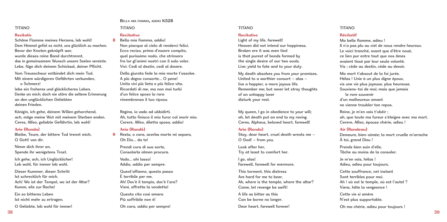# **TITANO**

# **Rezitativ**

Schöne Flamme meines Herzens, leb wohl! Dem Himmel gefiel es nicht, uns glücklich zu machen. Bevor der Knoten geknüpft war, wurde dieses reine Band durchtrennt, das in gemeinsamem Wunsch unsere Seelen vereinte. Lebe, füge dich deinem Schicksal, deiner Pflicht.

Vom Treueschwur entbindet dich mein Tod. Mit einem würdigeren Gefährten verbunden,

o Schmerz! lebe ein froheres und glücklicheres Leben. Denke an mich; doch nie störe die seltene Erinnerung an den unglücklichen Geliebten deinen Frieden.

Königin, ich gehe, deinem Willen gehorchend, ach, möge meine Wut mit meinem Sterben enden. Ceres, Alfeo, geliebte Gefährtin, leb wohl!

# **Arie (Rondo)**

Bleibe, Teure, der bittere Tod trennt mich, O Gott! von dir.

Nimm dich ihrer an, Spende ihr wenigstens Trost.

Ich gehe, ach, ich Unglücklicher! Leb wohl, für immer leb wohl.

Dieser Kummer, dieser Schritt Ist schrecklich für mich. Ach! Wo ist der Tempel, wo ist der Altar? Komm, eile zur Rache!

Ein so bitteres Leben Ist nicht mehr zu ertragen.

O Geliebte, leb wohl für immer!

**Bella mia fiamma, addio K528**

# **TITANO**

#### **Recitativo 8** Bella mia fiamma, addio!

Non piacque al cielo di renderci felici. Ecco reciso, prima d'essere compito, quel purissimo nodo, che strinsero fra lor gl'animi nostri con il solo voler. Vivi: Cedi al destin, cedi al dovere.

Della giurata fede la mia morte t'assolve. A più degno consorte… O pene! Unita vivi più lieta e più felice vita. Ricordati di me, ma non mai turbi d'un felice sposo la rara rimembranza il tuo riposo.

Regina, io vado ad ubbidirti. Ah, tutto finisca il mio furor col morir mio. Cerere, Alfeo, diletta sposa, addio!

## **Aria (Rondò)**

**9** Resta, o cara, acerba morte mi separa, Oh Dio… da te!

> Prendi cura di sua sorte, Consolarla almen procura.

Vado… ahi lasso! Addio, addio per sempre.

Quest'affanno, questo passo È terribile per me. Ah! Dov'è il tempio, dov'è l'ara? Vieni, affretta la vendetta! Questa vita così amara Più soffribile non è! Oh cara, addio per sempre!

#### TITANO

#### **Recitative**

Light of my life, farewell! Heaven did not intend our happiness. Broken ere it was even tied is that purest of bonds formed by the single desire of our two souls. Live; yield to fate and to your duty.

My death absolves you from your promises. United to a worthier consort – alas – live a happier, a more joyous life. Remember me; but never let stray thoughts of an unhappy lover disturb your rest.

My queen, I go in obedience to your will; ah, let death put an end to my raving. Ceres, Alpheus, beloved heart, farewell!

#### **Aria (Rondo)**

Stay, dear heart, cruel death wrests me – O God! – from you.

Look after her, Try at least to comfort her.

I go, alas! Farewell, farewell for evermore.

This torment, this distress Are hard for me to bear. Ah, where is the temple, where the altar? Come, let revenge be swift!

A life as bitter as this Can be borne no longer.

Dear heart, farewell forever!

#### TITANO

#### **Récitatif** Ma belle flamme, adieu !

Il n'a pas plu au ciel de nous rendre heureux. Le voici tranché, avant que d'être noué, ce lien pur entre tout que nos âmes avaient tissé par leur seule volonté. Vis ; cède au destin, cède au devoir.

Ma mort t'absout de la foi jurée. Hélas ! Unie à un plus digne époux, vis une vie plus joyeuse, plus heureuse. Souviens-toi de moi; mais que jamais le rare souvenir d'un malheureux amant

ne vienne troubler ton repos.

Reine, je m'en vais t'obéir ; ah, que toute ma fureur s'éteigne avec ma mort. Cerere, Alfeo, épouse chérie, adieu !

## **Air (Rondeau)**

Demeure, bien-aimée; la mort cruelle m'arrache À toi, grand Dieu !

Prends bien soin d'elle, Tâche au moins de la consoler.

Je m'en vais, hélas ! Adieu, adieu pour toujours.

Cette souffrance, cet instant Sont terribles pour moi. Ah ! où est le temple, où est l'autel ? Viens, hâte la vengeance !

Cette vie si amère N'est plus supportable.

Oh ma chérie, adieu pour toujours !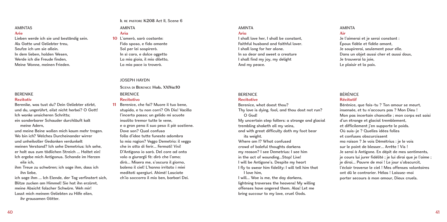# **AMINTAS**

#### **Arie**

Lieben werde ich sie und beständig sein. Als Gatte und Geliebter treu, Seufze ich um sie allein. In dem lieben, holden Wesen, Werde ich die Freude finden, Meine Wonne, meinen Frieden.

#### **BERENIKE Rezitativ**

Berenike, was tust du? Dein Geliebter stirbt, und du, ungerührt, eilst nicht herbei? O Gott! Ich wanke unsicheren Schritts; ein sonderbarer Schauder durchläuft kalt meine Adern,

und meine Beine wollen mich kaum mehr tragen. Wo bin ich? Welches Durcheinander wirrer und unheilvoller Gedanken verdunkelt meinen Verstand? Ich sehe Demetrius: Ich sehe, er holt aus zum tödlichen Streich … Haltet ein! Ich ergebe mich Antigonus. Schande im Herzen eile ich,

ihm Treue zu schwören; ich sage ihm, dass ich ihn liebe,

ich sage ihm … Ich Elende, der Tag verfinstert sich, Blitze zucken am Himmel! Sie hat ihn erzürnt, meine Absicht falscher Schwüre. Weh mir! Lasst mich meinem Geliebten zu Hilfe eilen, ihr grausamen Götter.

#### **Il re pastore K208** Act II, Scene 6

#### **AMINTA Aria**

**10** L'amerò, sarò costante: Fido sposo, e fido amante Sol per lei sospirerò. In sì caro, e dolce oggetto La mia gioia, il mio diletto, La mia pace io troverò.

#### JOSEPH HAYDN

**Scena di Berenice Hob. XXIVa:10 BERENICE** 

# **Recitativo**

**11** Berenice, che fai? Muore il tuo bene, stupida, e tu non corri? Oh Dio! Vacilla l'incerto passo; un gelido mi scuote insolito tremor tutte le vene, e a gran pena il suo peso il piè sostiene. Dove son? Qual confusa folla d'idee tutte funeste adombra la mia ragion? Veggo Demetrio: il veggo che in atto di ferir… Fermati! Vivi! D'Antigono io sarò. Del core ad onta volo a giurargli fè: dirò che l'amo; dirò… Misera me, s'oscura il giorno, balena il ciel! L'hanno irritato i miei meditati spergiuri. Ahimè! Lasciate ch'io soccorra il mio ben, barbari Dei.

#### **AMINTA Aria**

# I shall love her, I shall be constant, Faithful husband and faithful lover. I shall long for her alone. In so dear and sweet a creature I shall find my joy, my delight And my peace.

# **BERENICE**

#### **Recitative**

Berenice, what doest thou? Thy love is dying, fool, and thou dost not run? O God! My uncertain step falters: a strange and glacial trembling shaketh all my veins, and with great difficulty doth my foot bear its weight. Where am I? What confused crowd of baleful thoughts darkens my reason? I see Demetrius: I see him in the act of wounding...Stop! Live! I will be Antigone's. Despite my heart I fly to swear him fidelity: I will tell him that I love him,

I will… Woe is me, the day darkens, lightning traverses the heavens! My willing offenses have angered them. Alas! Let me bring succour to my love, cruel Gods.

# **AMINTA**

#### **Air**

Je l'aimerai et je serai constant : Époux fidèle et fidèle amant, Je soupirerai, seulement pour elle. Dans un objet aussi cher et aussi doux, Je trouverai la joie. Le plaisir et la paix.

#### BÉRÉNICE **Récitatif**

Bérénice, que fais-tu ? Ton amour se meurt insensée, et tu n'accours pas ? Mon Dieu ! Mon pas incertain chancelle ; mon corps est saisi d'un étrange et glacial tremblement, et difficilement j'en supporte le poids. Où suis-je ? Quelles idées folles et confuses obscurcissent ma raison ? Je vois Démétrius : je le vois sur le point de blesser… Arrête ! Vis ! Je serai à Antigone. En dépit de mes sentiments, je cours lui jurer fidélité ; je lui dirai que je l'aime ; je dirai… Pauvre de moi ! Le jour s'obscurcit, l'éclair traverse le ciel ! Mes offenses volontaires ont dû le contrarier. Hélas ! Laissez-moi porter secours à mon amour, Dieux cruels.